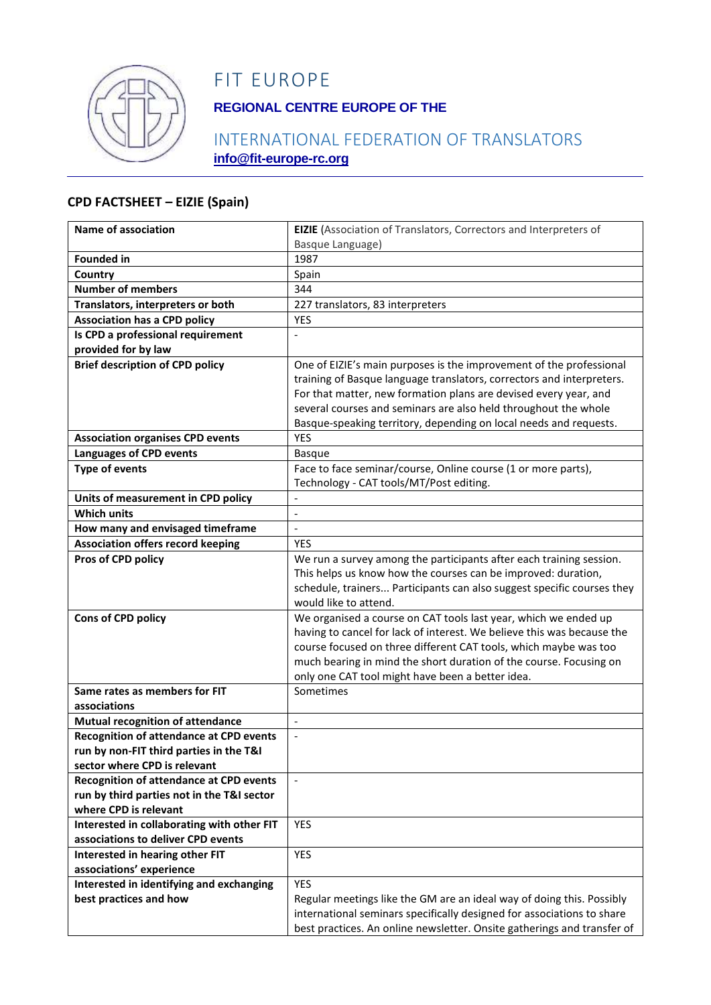

## FIT EUROPE

### **REGIONAL CENTRE EUROPE OF THE**

### INTERNATIONAL FEDERATION OF TRANSLATORS **info@fit-europe-rc.org**

#### **CPD FACTSHEET – EIZIE (Spain)**

| Name of association                            | EIZIE (Association of Translators, Correctors and Interpreters of       |
|------------------------------------------------|-------------------------------------------------------------------------|
|                                                | Basque Language)                                                        |
| <b>Founded in</b>                              | 1987                                                                    |
| Country                                        | Spain                                                                   |
| <b>Number of members</b>                       | 344                                                                     |
| Translators, interpreters or both              | 227 translators, 83 interpreters                                        |
| <b>Association has a CPD policy</b>            | <b>YES</b>                                                              |
| Is CPD a professional requirement              |                                                                         |
| provided for by law                            |                                                                         |
| <b>Brief description of CPD policy</b>         | One of EIZIE's main purposes is the improvement of the professional     |
|                                                | training of Basque language translators, correctors and interpreters.   |
|                                                | For that matter, new formation plans are devised every year, and        |
|                                                | several courses and seminars are also held throughout the whole         |
|                                                | Basque-speaking territory, depending on local needs and requests.       |
| <b>Association organises CPD events</b>        | <b>YES</b>                                                              |
| <b>Languages of CPD events</b>                 | <b>Basque</b>                                                           |
| <b>Type of events</b>                          | Face to face seminar/course, Online course (1 or more parts),           |
|                                                | Technology - CAT tools/MT/Post editing.                                 |
| Units of measurement in CPD policy             |                                                                         |
| <b>Which units</b>                             | $\overline{\phantom{a}}$                                                |
| How many and envisaged timeframe               | $\overline{a}$                                                          |
| <b>Association offers record keeping</b>       | <b>YES</b>                                                              |
| Pros of CPD policy                             | We run a survey among the participants after each training session.     |
|                                                | This helps us know how the courses can be improved: duration,           |
|                                                | schedule, trainers Participants can also suggest specific courses they  |
|                                                | would like to attend.                                                   |
| Cons of CPD policy                             | We organised a course on CAT tools last year, which we ended up         |
|                                                | having to cancel for lack of interest. We believe this was because the  |
|                                                | course focused on three different CAT tools, which maybe was too        |
|                                                | much bearing in mind the short duration of the course. Focusing on      |
| Same rates as members for FIT                  | only one CAT tool might have been a better idea.<br>Sometimes           |
| associations                                   |                                                                         |
| Mutual recognition of attendance               | $\overline{\phantom{a}}$                                                |
| <b>Recognition of attendance at CPD events</b> | $\frac{1}{2}$                                                           |
| run by non-FIT third parties in the T&I        |                                                                         |
| sector where CPD is relevant                   |                                                                         |
| <b>Recognition of attendance at CPD events</b> | $\overline{\phantom{a}}$                                                |
| run by third parties not in the T&I sector     |                                                                         |
| where CPD is relevant                          |                                                                         |
| Interested in collaborating with other FIT     | <b>YES</b>                                                              |
| associations to deliver CPD events             |                                                                         |
| Interested in hearing other FIT                | YES                                                                     |
| associations' experience                       |                                                                         |
| Interested in identifying and exchanging       | <b>YES</b>                                                              |
| best practices and how                         | Regular meetings like the GM are an ideal way of doing this. Possibly   |
|                                                | international seminars specifically designed for associations to share  |
|                                                | best practices. An online newsletter. Onsite gatherings and transfer of |